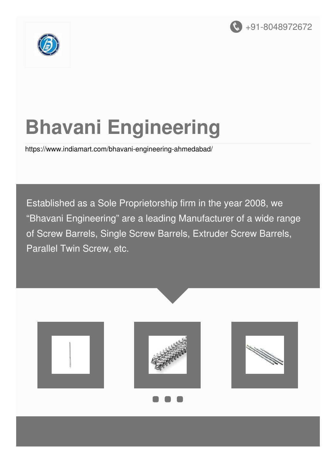



# **Bhavani Engineering**

<https://www.indiamart.com/bhavani-engineering-ahmedabad/>

Established as a Sole Proprietorship firm in the year 2008, we "Bhavani Engineering" are a leading Manufacturer of a wide range of Screw Barrels, Single Screw Barrels, Extruder Screw Barrels, Parallel Twin Screw, etc.

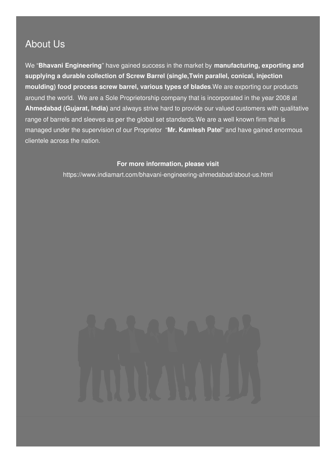### About Us

We "**Bhavani Engineering**" have gained success in the market by **manufacturing, exporting and supplying a durable collection of Screw Barrel (single,Twin parallel, conical, injection moulding) food process screw barrel, various types of blades**.We are exporting our products around the world. We are a Sole Proprietorship company that is incorporated in the year 2008 at **Ahmedabad (Gujarat, India)** and always strive hard to provide our valued customers with qualitative range of barrels and sleeves as per the global set standards.We are a well known firm that is managed under the supervision of our Proprietor "**Mr. Kamlesh Pate**l" and have gained enormous clientele across the nation.

#### **For more information, please visit**

<https://www.indiamart.com/bhavani-engineering-ahmedabad/about-us.html>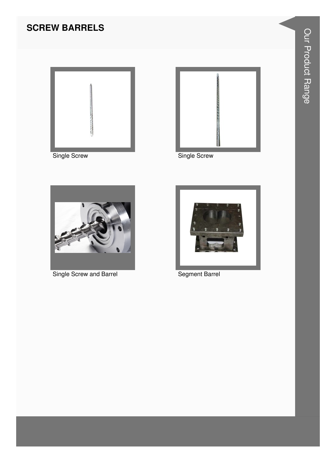#### **SCREW BARRELS**





Single Screw



Single Screw and Barrel



**Segment Barrel**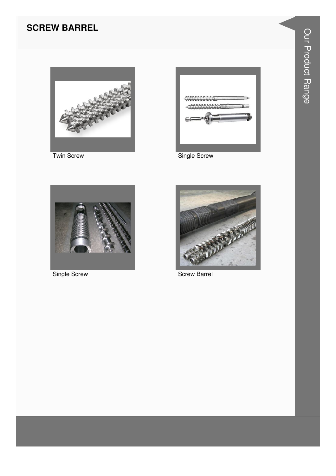#### **SCREW BARREL**



**Twin Screw** 



Single Screw



Single Screw



**Screw Barrel**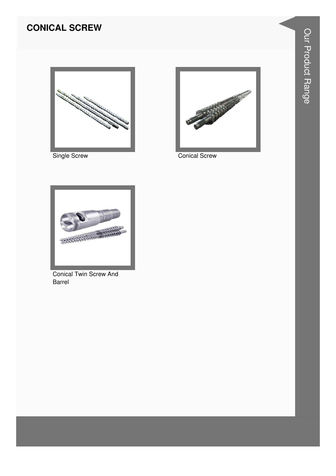#### **CONICAL SCREW**



**Single Screw** 



**Conical Screw** 



**Conical Twin Screw And** Barrel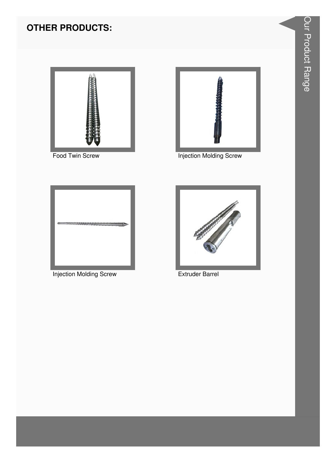### **OTHER PRODUCTS:**



Food Twin Screw

![](_page_5_Picture_3.jpeg)

**Injection Molding Screw** 

![](_page_5_Picture_5.jpeg)

**Injection Molding Screw** 

![](_page_5_Picture_7.jpeg)

**Extruder Barrel**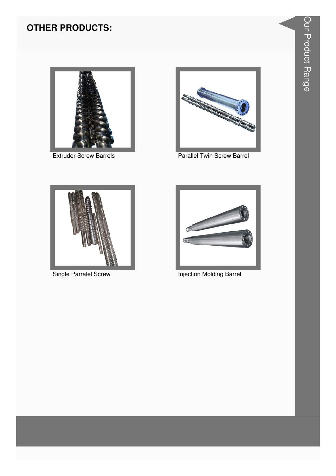#### **OTHER PRODUCTS:**

![](_page_6_Picture_1.jpeg)

**Extruder Screw Barrels** 

![](_page_6_Picture_3.jpeg)

Parallel Twin Screw Barrel

![](_page_6_Picture_5.jpeg)

**Single Parralel Screw** 

![](_page_6_Picture_7.jpeg)

**Injection Molding Barrel**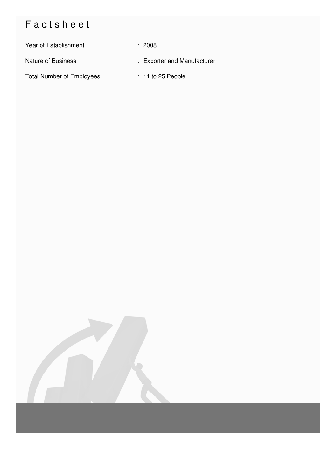## Factsheet

| Year of Establishment            | : 2008                      |
|----------------------------------|-----------------------------|
| <b>Nature of Business</b>        | : Exporter and Manufacturer |
| <b>Total Number of Employees</b> | $: 11$ to 25 People         |

![](_page_7_Picture_2.jpeg)